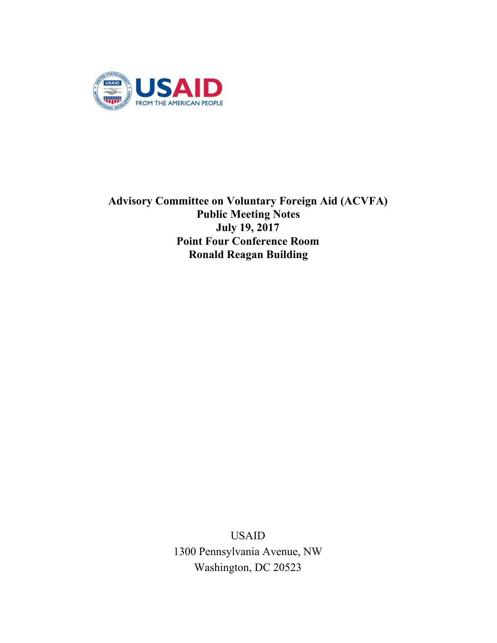

**Advisory Committee on Voluntary Foreign Aid (ACVFA) Public Meeting Notes July 19, 2017 Point Four Conference Room Ronald Reagan Building**

> USAID 1300 Pennsylvania Avenue, NW Washington, DC 20523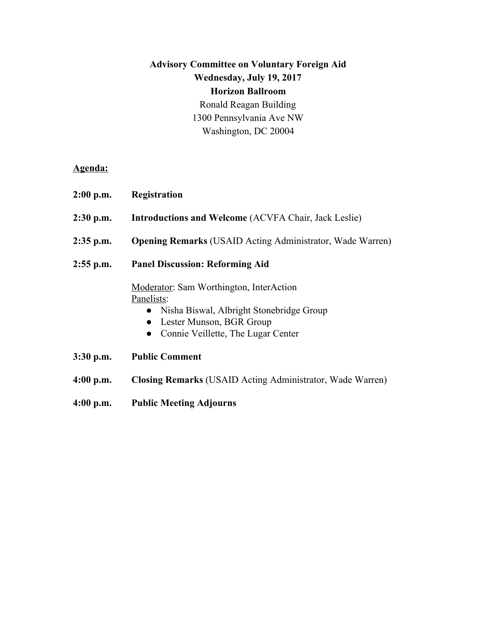# **Advisory Committee on Voluntary Foreign Aid Wednesday, July 19, 2017 Horizon Ballroom** Ronald Reagan Building 1300 Pennsylvania Ave NW Washington, DC 20004

**Agenda:**

- **2:00 p.m. Registration**
- **2:30 p.m. Introductions and Welcome** (ACVFA Chair, Jack Leslie)
- **2:35 p.m. Opening Remarks** (USAID Acting Administrator, Wade Warren)
- **2:55 p.m. Panel Discussion: Reforming Aid**

Moderator: Sam Worthington, InterAction Panelists:

- Nisha Biswal, Albright Stonebridge Group
- Lester Munson, BGR Group
- Connie Veillette, The Lugar Center
- **3:30 p.m. Public Comment**
- **4:00 p.m. Closing Remarks** (USAID Acting Administrator, Wade Warren)
- **4:00 p.m. Public Meeting Adjourns**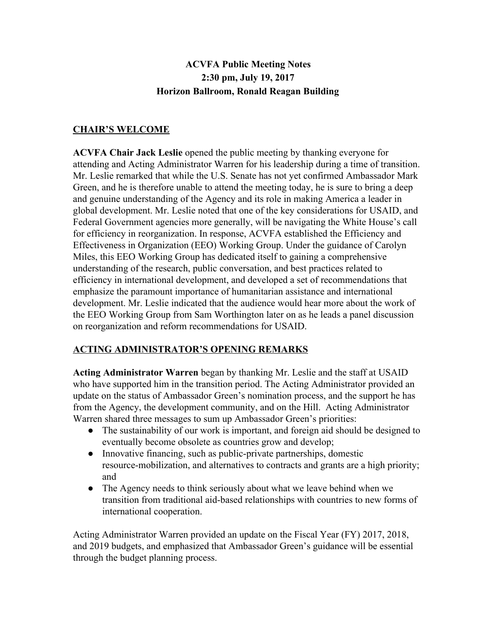## **ACVFA Public Meeting Notes 2:30 pm, July 19, 2017 Horizon Ballroom, Ronald Reagan Building**

## **CHAIR'S WELCOME**

**ACVFA Chair Jack Leslie** opened the public meeting by thanking everyone for attending and Acting Administrator Warren for his leadership during a time of transition. Mr. Leslie remarked that while the U.S. Senate has not yet confirmed Ambassador Mark Green, and he is therefore unable to attend the meeting today, he is sure to bring a deep and genuine understanding of the Agency and its role in making America a leader in global development. Mr. Leslie noted that one of the key considerations for USAID, and Federal Government agencies more generally, will be navigating the White House's call for efficiency in reorganization. In response, ACVFA established the Efficiency and Effectiveness in Organization (EEO) Working Group. Under the guidance of Carolyn Miles, this EEO Working Group has dedicated itself to gaining a comprehensive understanding of the research, public conversation, and best practices related to efficiency in international development, and developed a set of recommendations that emphasize the paramount importance of humanitarian assistance and international development. Mr. Leslie indicated that the audience would hear more about the work of the EEO Working Group from Sam Worthington later on as he leads a panel discussion on reorganization and reform recommendations for USAID.

#### **ACTING ADMINISTRATOR'S OPENING REMARKS**

**Acting Administrator Warren** began by thanking Mr. Leslie and the staff at USAID who have supported him in the transition period. The Acting Administrator provided an update on the status of Ambassador Green's nomination process, and the support he has from the Agency, the development community, and on the Hill. Acting Administrator Warren shared three messages to sum up Ambassador Green's priorities:

- The sustainability of our work is important, and foreign aid should be designed to eventually become obsolete as countries grow and develop;
- Innovative financing, such as public-private partnerships, domestic resource-mobilization, and alternatives to contracts and grants are a high priority; and
- The Agency needs to think seriously about what we leave behind when we transition from traditional aid-based relationships with countries to new forms of international cooperation.

Acting Administrator Warren provided an update on the Fiscal Year (FY) 2017, 2018, and 2019 budgets, and emphasized that Ambassador Green's guidance will be essential through the budget planning process.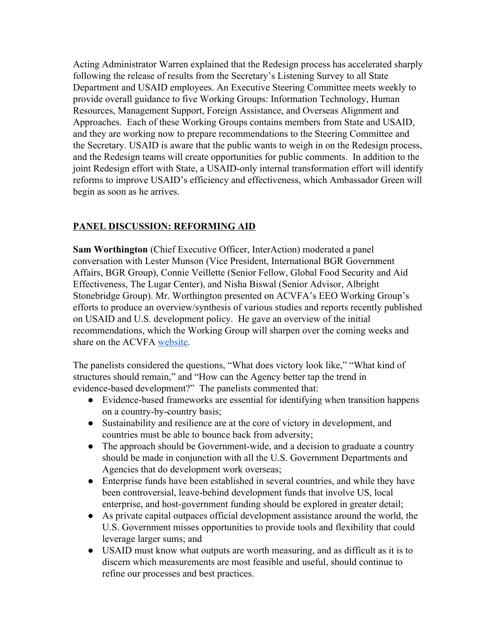Acting Administrator Warren explained that the Redesign process has accelerated sharply following the release of results from the Secretary's Listening Survey to all State Department and USAID employees. An Executive Steering Committee meets weekly to provide overall guidance to five Working Groups: Information Technology, Human Resources, Management Support, Foreign Assistance, and Overseas Alignment and Approaches. Each of these Working Groups contains members from State and USAID, and they are working now to prepare recommendations to the Steering Committee and the Secretary. USAID is aware that the public wants to weigh in on the Redesign process, and the Redesign teams will create opportunities for public comments. In addition to the joint Redesign effort with State, a USAID-only internal transformation effort will identify reforms to improve USAID's efficiency and effectiveness, which Ambassador Green will begin as soon as he arrives.

## **PANEL DISCUSSION: REFORMING AID**

**Sam Worthington** (Chief Executive Officer, InterAction) moderated a panel conversation with Lester Munson (Vice President, International BGR Government Affairs, BGR Group), Connie Veillette (Senior Fellow, Global Food Security and Aid Effectiveness, The Lugar Center), and Nisha Biswal (Senior Advisor, Albright Stonebridge Group). Mr. Worthington presented on ACVFA's EEO Working Group's efforts to produce an overview/synthesis of various studies and reports recently published on USAID and U.S. development policy. He gave an overview of the initial recommendations, which the Working Group will sharpen over the coming weeks and share on the ACVFA [website](https://www.usaid.gov/who-we-are/organization/advisory-committee).

The panelists considered the questions, "What does victory look like," "What kind of structures should remain," and "How can the Agency better tap the trend in evidence-based development?" The panelists commented that:

- Evidence-based frameworks are essential for identifying when transition happens on a country-by-country basis;
- Sustainability and resilience are at the core of victory in development, and countries must be able to bounce back from adversity;
- The approach should be Government-wide, and a decision to graduate a country should be made in conjunction with all the U.S. Government Departments and Agencies that do development work overseas;
- Enterprise funds have been established in several countries, and while they have been controversial, leave-behind development funds that involve US, local enterprise, and host-government funding should be explored in greater detail;
- As private capital outpaces official development assistance around the world, the U.S. Government misses opportunities to provide tools and flexibility that could leverage larger sums; and
- USAID must know what outputs are worth measuring, and as difficult as it is to discern which measurements are most feasible and useful, should continue to refine our processes and best practices.